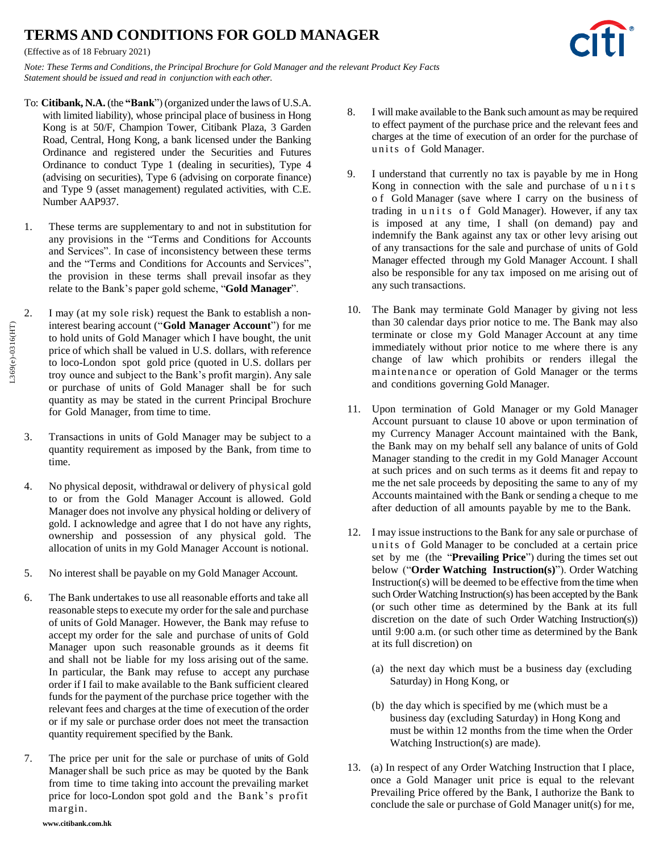## **TERMS AND CONDITIONS FOR GOLD MANAGER**

*Note: These Terms and Conditions, the Principal Brochure for Gold Manager and the relevant Product Key Facts Statement should be issued and read in conjunction with each other.*

- To: **Citibank, N.A.** (the **"Bank**") (organized under the laws of U.S.A. with limited liability), whose principal place of business in Hong Kong is at 50/F, Champion Tower, Citibank Plaza, 3 Garden Road, Central, Hong Kong, a bank licensed under the Banking Ordinance and registered under the Securities and Futures Ordinance to conduct Type 1 (dealing in securities), Type 4 (advising on securities), Type 6 (advising on corporate finance) and Type 9 (asset management) regulated activities, with C.E. Number AAP937.
- 1. These terms are supplementary to and not in substitution for any provisions in the "Terms and Conditions for Accounts and Services". In case of inconsistency between these terms and the "Terms and Conditions for Accounts and Services", the provision in these terms shall prevail insofar as they relate to the Bank's paper gold scheme, "**Gold Manager**".
- 2. I may (at my sole risk) request the Bank to establish a noninterest bearing account ("**Gold Manager Account**") for me to hold units of Gold Manager which I have bought, the unit price of which shall be valued in U.S. dollars, with reference to loco-London spot gold price (quoted in U.S. dollars per troy ounce and subject to the Bank's profit margin). Any sale or purchase of units of Gold Manager shall be for such quantity as may be stated in the current Principal Brochure for Gold Manager, from time to time.
- 3. Transactions in units of Gold Manager may be subject to a quantity requirement as imposed by the Bank, from time to time.
- 4. No physical deposit, withdrawal or delivery of physical gold to or from the Gold Manager Account is allowed. Gold Manager does not involve any physical holding or delivery of gold. I acknowledge and agree that I do not have any rights, ownership and possession of any physical gold. The allocation of units in my Gold Manager Account is notional.
- 5. No interest shall be payable on my Gold Manager Account.
- 6. The Bank undertakes to use all reasonable efforts and take all reasonable steps to execute my order for the sale and purchase of units of Gold Manager. However, the Bank may refuse to accept my order for the sale and purchase of units of Gold Manager upon such reasonable grounds as it deems fit and shall not be liable for my loss arising out of the same. In particular, the Bank may refuse to accept any purchase order if I fail to make available to the Bank sufficient cleared funds for the payment of the purchase price together with the relevant fees and charges at the time of execution of the order or if my sale or purchase order does not meet the transaction quantity requirement specified by the Bank.
- 7. The price per unit for the sale or purchase of units of Gold Managershall be such price as may be quoted by the Bank from time to time taking into account the prevailing market price for loco-London spot gold and the Bank's profit margin.
- 8. I will make available to the Bank such amount as may be required to effect payment of the purchase price and the relevant fees and charges at the time of execution of an order for the purchase of units of Gold Manager.
- 9. I understand that currently no tax is payable by me in Hong Kong in connection with the sale and purchase of u n i t s o f Gold Manager (save where I carry on the business of trading in units of Gold Manager). However, if any tax is imposed at any time, I shall (on demand) pay and indemnify the Bank against any tax or other levy arising out of any transactions for the sale and purchase of units of Gold Manager effected through my Gold Manager Account. I shall also be responsible for any tax imposed on me arising out of any such transactions.
- <span id="page-0-0"></span>10. The Bank may terminate Gold Manager by giving not less than 30 calendar days prior notice to me. The Bank may also terminate or close my Gold Manager Account at any time immediately without prior notice to me where there is any change of law which prohibits or renders illegal the maintenance or operation of Gold Manager or the terms and conditions governing Gold Manager.
- 11. Upon termination of Gold Manager or my Gold Manager Account pursuant to clause [10](#page-0-0) above or upon termination of my Currency Manager Account maintained with the Bank, the Bank may on my behalf sell any balance of units of Gold Manager standing to the credit in my Gold Manager Account at such prices and on such terms as it deems fit and repay to me the net sale proceeds by depositing the same to any of my Accounts maintained with the Bank or sending a cheque to me after deduction of all amounts payable by me to the Bank.
- 12. I may issue instructions to the Bank for any sale or purchase of units of Gold Manager to be concluded at a certain price set by me (the "**Prevailing Price**") during the times set out below ("**Order Watching Instruction(s)**"). Order Watching Instruction(s) will be deemed to be effective from the time when such Order Watching Instruction(s) has been accepted by the Bank (or such other time as determined by the Bank at its full discretion on the date of such Order Watching Instruction(s)) until 9:00 a.m. (or such other time as determined by the Bank at its full discretion) on
	- (a) the next day which must be a business day (excluding Saturday) in Hong Kong, or
	- (b) the day which is specified by me (which must be a business day (excluding Saturday) in Hong Kong and must be within 12 months from the time when the Order Watching Instruction(s) are made).
- 13. (a) In respect of any Order Watching Instruction that I place, once a Gold Manager unit price is equal to the relevant Prevailing Price offered by the Bank, I authorize the Bank to conclude the sale or purchase of Gold Manager unit(s) for me,